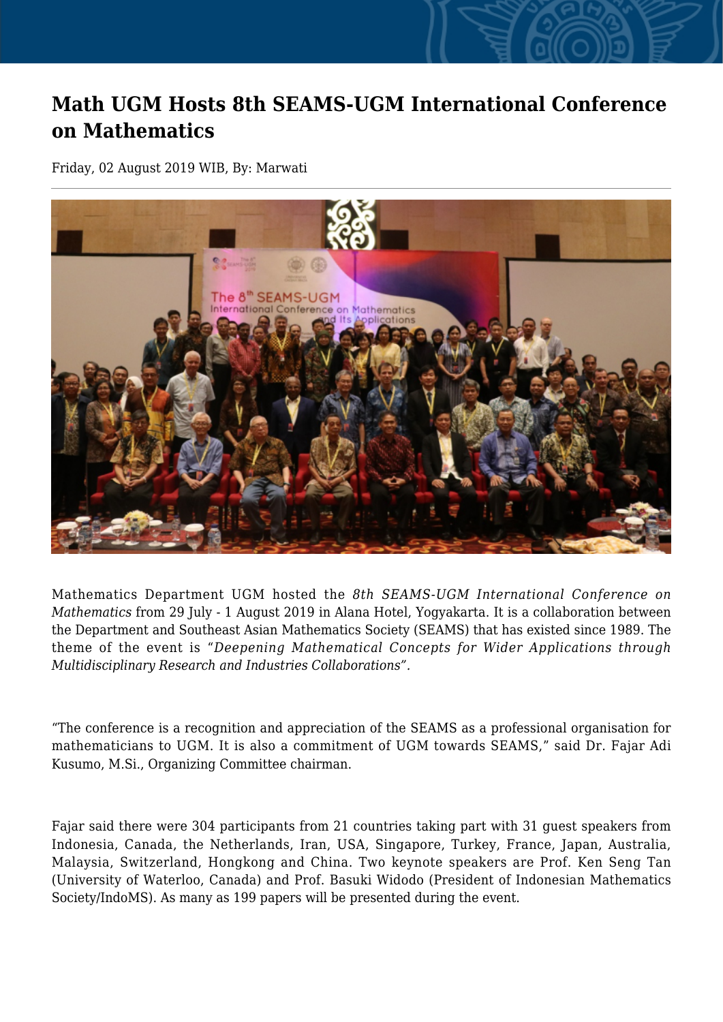## **Math UGM Hosts 8th SEAMS-UGM International Conference on Mathematics**

Friday, 02 August 2019 WIB, By: Marwati



Mathematics Department UGM hosted the *8th SEAMS-UGM International Conference on Mathematics* from 29 July - 1 August 2019 in Alana Hotel, Yogyakarta. It is a collaboration between the Department and Southeast Asian Mathematics Society (SEAMS) that has existed since 1989. The theme of the event is "*Deepening Mathematical Concepts for Wider Applications through Multidisciplinary Research and Industries Collaborations".*

"The conference is a recognition and appreciation of the SEAMS as a professional organisation for mathematicians to UGM. It is also a commitment of UGM towards SEAMS," said Dr. Fajar Adi Kusumo, M.Si., Organizing Committee chairman.

Fajar said there were 304 participants from 21 countries taking part with 31 guest speakers from Indonesia, Canada, the Netherlands, Iran, USA, Singapore, Turkey, France, Japan, Australia, Malaysia, Switzerland, Hongkong and China. Two keynote speakers are Prof. Ken Seng Tan (University of Waterloo, Canada) and Prof. Basuki Widodo (President of Indonesian Mathematics Society/IndoMS). As many as 199 papers will be presented during the event.